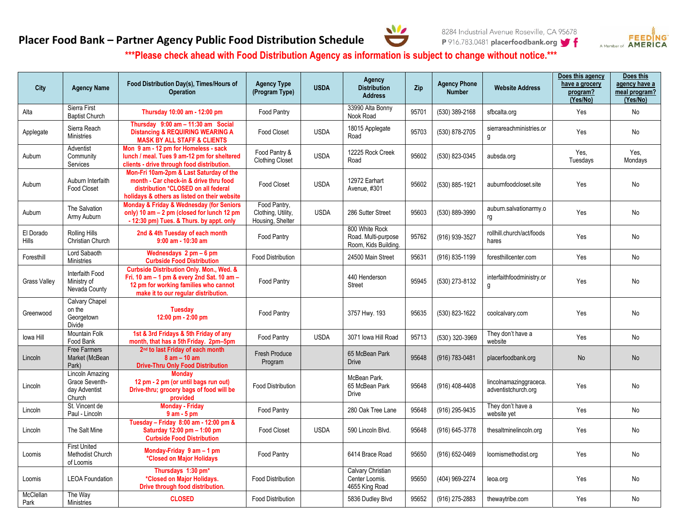## **Placer Food Bank – Partner Agency Public Food Distribution Schedule**





**\*\*\*Please check ahead with Food Distribution Agency as information is subject to change without notice.\*\*\***

| City               | <b>Agency Name</b>                                           | Food Distribution Day(s), Times/Hours of<br><b>Operation</b>                                                                                                                           | <b>Agency Type</b><br>(Program Type)                   | <b>USDA</b> | Agency<br><b>Distribution</b><br><b>Address</b>               | Zip   | <b>Agency Phone</b><br><b>Number</b> | <b>Website Address</b>                        | Does this agency<br>have a grocery<br>program?<br>(Yes/No) | Does this<br>agency have a<br>meal program?<br>(Yes/No) |
|--------------------|--------------------------------------------------------------|----------------------------------------------------------------------------------------------------------------------------------------------------------------------------------------|--------------------------------------------------------|-------------|---------------------------------------------------------------|-------|--------------------------------------|-----------------------------------------------|------------------------------------------------------------|---------------------------------------------------------|
| Alta               | Sierra First<br><b>Baptist Church</b>                        | Thursday 10:00 am - 12:00 pm                                                                                                                                                           | <b>Food Pantry</b>                                     |             | 33990 Alta Bonny<br>Nook Road                                 | 95701 | (530) 389-2168                       | sfbcalta.org                                  | Yes                                                        | No                                                      |
| Applegate          | Sierra Reach<br><b>Ministries</b>                            | Thursday 9:00 am - 11:30 am Social<br><b>Distancing &amp; REQUIRING WEARING A</b><br><b>MASK BY ALL STAFF &amp; CLIENTS</b>                                                            | <b>Food Closet</b>                                     | <b>USDA</b> | 18015 Applegate<br>Road                                       | 95703 | (530) 878-2705                       | sierrareachministries.or<br>g                 | Yes                                                        | No                                                      |
| Auburn             | Adventist<br>Community<br>Services                           | Mon 9 am - 12 pm for Homeless - sack<br>lunch / meal. Tues 9 am-12 pm for sheltered<br>clients - drive through food distribution.                                                      | Food Pantry &<br><b>Clothing Closet</b>                | <b>USDA</b> | 12225 Rock Creek<br>Road                                      | 95602 | (530) 823-0345                       | aubsda.org                                    | Yes,<br>Tuesdays                                           | Yes,<br>Mondays                                         |
| Auburn             | Aubum Interfaith<br><b>Food Closet</b>                       | Mon-Fri 10am-2pm & Last Saturday of the<br>month - Car check-in & drive thru food<br>distribution *CLOSED on all federal<br>holidays & others as listed on their website               | <b>Food Closet</b>                                     | <b>USDA</b> | 12972 Earhart<br>Avenue, #301                                 | 95602 | (530) 885-1921                       | auburnfoodcloset.site                         | Yes                                                        | No                                                      |
| Auburn             | The Salvation<br>Army Auburn                                 | Monday & Friday & Wednesday (for Seniors<br>only) 10 am - 2 pm (closed for lunch 12 pm<br>- 12:30 pm) Tues. & Thurs. by appt. only                                                     | Food Pantry,<br>Clothing, Utility,<br>Housing, Shelter | <b>USDA</b> | 286 Sutter Street                                             | 95603 | (530) 889-3990                       | auburn.salvationarmy.o<br>rg                  | Yes                                                        | No                                                      |
| El Dorado<br>Hills | Rolling Hills<br>Christian Church                            | 2nd & 4th Tuesday of each month<br>$9:00$ am - $10:30$ am                                                                                                                              | Food Pantry                                            |             | 800 White Rock<br>Road. Multi-purpose<br>Room, Kids Building. | 95762 | (916) 939-3527                       | rollhill.church/act/foods<br>hares            | Yes                                                        | No                                                      |
| Foresthill         | Lord Sabaoth<br><b>Ministries</b>                            | Wednesdays $2 \text{ pm} - 6 \text{ pm}$<br><b>Curbside Food Distribution</b>                                                                                                          | <b>Food Distribution</b>                               |             | 24500 Main Street                                             | 95631 | (916) 835-1199                       | foresthillcenter.com                          | Yes                                                        | No                                                      |
| Grass Valley       | Interfaith Food<br>Ministry of<br>Nevada County              | <b>Curbside Distribution Only. Mon., Wed. &amp;</b><br>Fri. 10 am $-$ 1 pm & every 2nd Sat. 10 am $-$<br>12 pm for working families who cannot<br>make it to our regular distribution. | Food Pantry                                            |             | 440 Henderson<br><b>Street</b>                                | 95945 | (530) 273-8132                       | interfaithfoodministry.or<br>g                | Yes                                                        | No                                                      |
| Greenwood          | Calvary Chapel<br>on the<br>Georgetown<br><b>Divide</b>      | <b>Tuesday</b><br>12:00 pm - 2:00 pm                                                                                                                                                   | <b>Food Pantry</b>                                     |             | 3757 Hwy. 193                                                 | 95635 | (530) 823-1622                       | coolcalvary.com                               | Yes                                                        | No                                                      |
| lowa Hill          | Mountain Folk<br>Food Bank                                   | 1st & 3rd Fridays & 5th Friday of any<br>month, that has a 5th Friday. 2pm-5pm                                                                                                         | Food Pantry                                            | <b>USDA</b> | 3071 Iowa Hill Road                                           | 95713 | (530) 320-3969                       | They don't have a<br>website                  | Yes                                                        | No                                                      |
| Lincoln            | <b>Free Farmers</b><br>Market (McBean<br>Park)               | 2 <sup>nd</sup> to last Friday of each month<br>$8$ am $-$ 10 am<br><b>Drive-Thru Only Food Distribution</b>                                                                           | <b>Fresh Produce</b><br>Program                        |             | 65 McBean Park<br><b>Drive</b>                                | 95648 | (916) 783-0481                       | placerfoodbank.org                            | No                                                         | No                                                      |
| Lincoln            | Lincoln Amazing<br>Grace Seventh-<br>day Adventist<br>Church | <b>Monday</b><br>12 pm - 2 pm (or until bags run out)<br>Drive-thru; grocery bags of food will be<br>provided                                                                          | <b>Food Distribution</b>                               |             | McBean Park.<br>65 McBean Park<br><b>Drive</b>                | 95648 | (916) 408-4408                       | lincolnamazinggraceca.<br>adventistchurch.org | Yes                                                        | No                                                      |
| Lincoln            | St. Vincent de<br>Paul - Lincoln                             | <b>Monday - Friday</b><br>$9$ am $-5$ pm                                                                                                                                               | Food Pantry                                            |             | 280 Oak Tree Lane                                             | 95648 | (916) 295-9435                       | They don't have a<br>website yet              | Yes                                                        | No                                                      |
| Lincoln            | The Salt Mine                                                | Tuesday - Friday 8:00 am - 12:00 pm &<br>Saturday 12:00 pm - 1:00 pm<br><b>Curbside Food Distribution</b>                                                                              | <b>Food Closet</b>                                     | <b>USDA</b> | 590 Lincoln Blvd.                                             | 95648 | (916) 645-3778                       | thesaltminelincoln.org                        | Yes                                                        | No                                                      |
| Loomis             | <b>First United</b><br>Methodist Church<br>of Loomis         | Monday-Friday $9$ am $-1$ pm<br>*Closed on Major Holidays                                                                                                                              | Food Pantry                                            |             | 6414 Brace Road                                               | 95650 | (916) 652-0469                       | loomismethodist.org                           | Yes                                                        | No                                                      |
| Loomis             | <b>LEOA Foundation</b>                                       | Thursdays 1:30 pm*<br>*Closed on Major Holidays.<br>Drive through food distribution.                                                                                                   | <b>Food Distribution</b>                               |             | Calvary Christian<br>Center Loomis.<br>4655 King Road         | 95650 | (404) 969-2274                       | leoa.org                                      | Yes                                                        | No                                                      |
| McClellan<br>Park  | The Way<br><b>Ministries</b>                                 | <b>CLOSED</b>                                                                                                                                                                          | <b>Food Distribution</b>                               |             | 5836 Dudley Blvd                                              | 95652 | (916) 275-2883                       | thewaytribe.com                               | Yes                                                        | No                                                      |